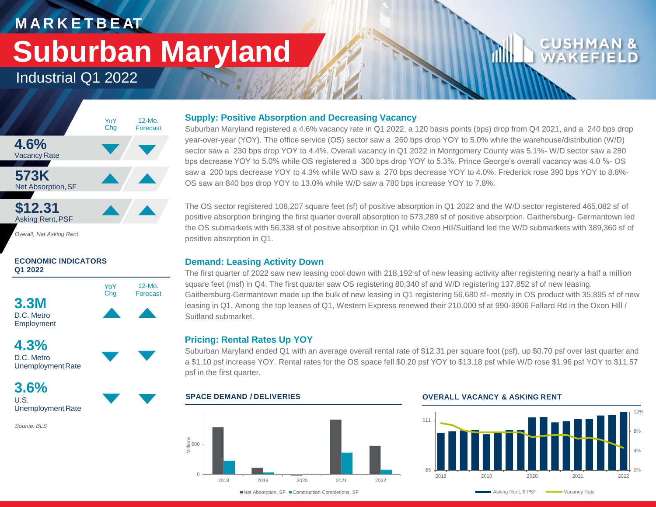# **M A R K E T B E AT Suburban Maryland**

## Industrial Q1 2022



*Overall, Net Asking Rent*

### **ECONOMIC INDICATORS Q1 2022**





**3.6%** U.S. Unemployment Rate

*Source: BLS*

### **Supply: Positive Absorption and Decreasing Vacancy**

Suburban Maryland registered a 4.6% vacancy rate in Q1 2022, a 120 basis points (bps) drop from Q4 2021, and a 240 bps drop year-over-year (YOY). The office service (OS) sector saw a 260 bps drop YOY to 5.0% while the warehouse/distribution (W/D) sector saw a 230 bps drop YOY to 4.4%. Overall vacancy in Q1 2022 in Montgomery County was 5.1%- W/D sector saw a 280 bps decrease YOY to 5.0% while OS registered a 300 bps drop YOY to 5.3%. Prince George's overall vacancy was 4.0 %- OS saw a 200 bps decrease YOY to 4.3% while W/D saw a 270 bps decrease YOY to 4.0%. Frederick rose 390 bps YOY to 8.8%- OS saw an 840 bps drop YOY to 13.0% while W/D saw a 780 bps increase YOY to 7.8%.

The OS sector registered 108,207 square feet (sf) of positive absorption in Q1 2022 and the W/D sector registered 465,082 sf of positive absorption bringing the first quarter overall absorption to 573,289 sf of positive absorption. Gaithersburg- Germantown led the OS submarkets with 56,338 sf of positive absorption in Q1 while Oxon Hill/Suitland led the W/D submarkets with 389,360 sf of positive absorption in Q1.

### **Demand: Leasing Activity Down**

The first quarter of 2022 saw new leasing cool down with 218,192 sf of new leasing activity after registering nearly a half a million square feet (msf) in Q4. The first quarter saw OS registering 80,340 sf and W/D registering 137,852 sf of new leasing. Gaithersburg-Germantown made up the bulk of new leasing in Q1 registering 56,680 sf- mostly in OS product with 35,895 sf of new leasing in Q1. Among the top leases of Q1, Western Express renewed their 210,000 sf at 990-9906 Fallard Rd in the Oxon Hill / Suitland submarket.

### **Pricing: Rental Rates Up YOY**

Suburban Maryland ended Q1 with an average overall rental rate of \$12.31 per square foot (psf), up \$0.70 psf over last quarter and a \$1.10 psf increase YOY. Rental rates for the OS space fell \$0.20 psf YOY to \$13.18 psf while W/D rose \$1.96 psf YOY to \$11.57 psf in the first quarter.



### **SPACE DEMAND / DELIVERIES OVERALL VACANCY & ASKING RENT**